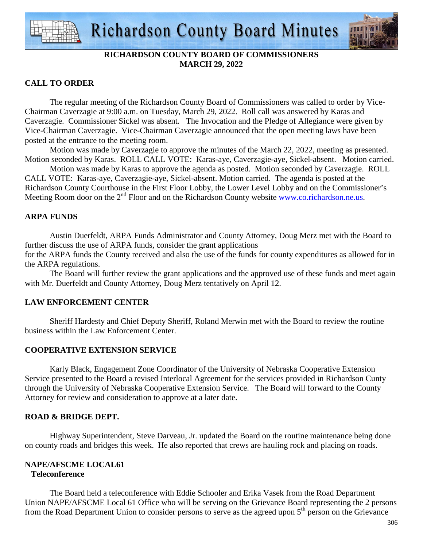

# **RICHARDSON COUNTY BOARD OF COMMISSIONERS MARCH 29, 2022**

# **CALL TO ORDER**

 The regular meeting of the Richardson County Board of Commissioners was called to order by Vice-Chairman Caverzagie at 9:00 a.m. on Tuesday, March 29, 2022. Roll call was answered by Karas and Caverzagie. Commissioner Sickel was absent. The Invocation and the Pledge of Allegiance were given by Vice-Chairman Caverzagie. Vice-Chairman Caverzagie announced that the open meeting laws have been posted at the entrance to the meeting room.

 Motion was made by Caverzagie to approve the minutes of the March 22, 2022, meeting as presented. Motion seconded by Karas. ROLL CALL VOTE: Karas-aye, Caverzagie-aye, Sickel-absent. Motion carried.

 Motion was made by Karas to approve the agenda as posted. Motion seconded by Caverzagie. ROLL CALL VOTE: Karas-aye, Caverzagie-aye, Sickel-absent. Motion carried. The agenda is posted at the Richardson County Courthouse in the First Floor Lobby, the Lower Level Lobby and on the Commissioner's Meeting Room door on the 2<sup>nd</sup> Floor and on the Richardson County website www.co.richardson.ne.us.

# **ARPA FUNDS**

Austin Duerfeldt, ARPA Funds Administrator and County Attorney, Doug Merz met with the Board to further discuss the use of ARPA funds, consider the grant applications for the ARPA funds the County received and also the use of the funds for county expenditures as allowed for in the ARPA regulations.

 The Board will further review the grant applications and the approved use of these funds and meet again with Mr. Duerfeldt and County Attorney, Doug Merz tentatively on April 12.

# **LAW ENFORCEMENT CENTER**

 Sheriff Hardesty and Chief Deputy Sheriff, Roland Merwin met with the Board to review the routine business within the Law Enforcement Center.

# **COOPERATIVE EXTENSION SERVICE**

 Karly Black, Engagement Zone Coordinator of the University of Nebraska Cooperative Extension Service presented to the Board a revised Interlocal Agreement for the services provided in Richardson Cunty through the University of Nebraska Cooperative Extension Service. The Board will forward to the County Attorney for review and consideration to approve at a later date.

# **ROAD & BRIDGE DEPT.**

 Highway Superintendent, Steve Darveau, Jr. updated the Board on the routine maintenance being done on county roads and bridges this week. He also reported that crews are hauling rock and placing on roads.

#### **NAPE/AFSCME LOCAL61 Teleconference**

 The Board held a teleconference with Eddie Schooler and Erika Vasek from the Road Department Union NAPE/AFSCME Local 61 Office who will be serving on the Grievance Board representing the 2 persons from the Road Department Union to consider persons to serve as the agreed upon 5<sup>th</sup> person on the Grievance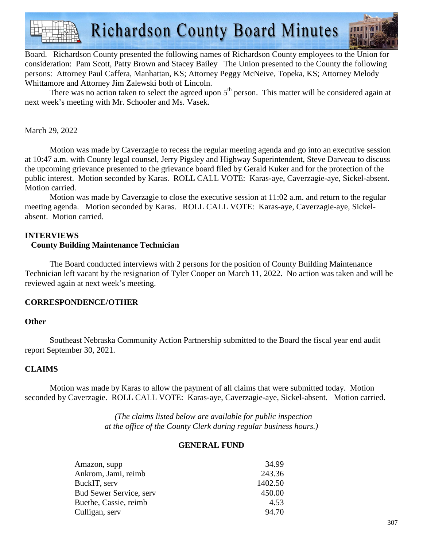**Richardson County Board Minutes** 

Board. Richardson County presented the following names of Richardson County employees to the Union for consideration: Pam Scott, Patty Brown and Stacey Bailey The Union presented to the County the following persons: Attorney Paul Caffera, Manhattan, KS; Attorney Peggy McNeive, Topeka, KS; Attorney Melody Whittamore and Attorney Jim Zalewski both of Lincoln.

There was no action taken to select the agreed upon  $5<sup>th</sup>$  person. This matter will be considered again at next week's meeting with Mr. Schooler and Ms. Vasek.

## March 29, 2022

 Motion was made by Caverzagie to recess the regular meeting agenda and go into an executive session at 10:47 a.m. with County legal counsel, Jerry Pigsley and Highway Superintendent, Steve Darveau to discuss the upcoming grievance presented to the grievance board filed by Gerald Kuker and for the protection of the public interest. Motion seconded by Karas. ROLL CALL VOTE: Karas-aye, Caverzagie-aye, Sickel-absent. Motion carried.

 Motion was made by Caverzagie to close the executive session at 11:02 a.m. and return to the regular meeting agenda. Motion seconded by Karas. ROLL CALL VOTE: Karas-aye, Caverzagie-aye, Sickelabsent. Motion carried.

# **INTERVIEWS**

#### **County Building Maintenance Technician**

The Board conducted interviews with 2 persons for the position of County Building Maintenance Technician left vacant by the resignation of Tyler Cooper on March 11, 2022. No action was taken and will be reviewed again at next week's meeting.

## **CORRESPONDENCE/OTHER**

## **Other**

 Southeast Nebraska Community Action Partnership submitted to the Board the fiscal year end audit report September 30, 2021.

## **CLAIMS**

Motion was made by Karas to allow the payment of all claims that were submitted today. Motion seconded by Caverzagie. ROLL CALL VOTE: Karas-aye, Caverzagie-aye, Sickel-absent. Motion carried.

> *(The claims listed below are available for public inspection at the office of the County Clerk during regular business hours.)*

#### **GENERAL FUND**

| Amazon, supp                   | 34.99   |
|--------------------------------|---------|
| Ankrom, Jami, reimb            | 243.36  |
| BuckIT, serv                   | 1402.50 |
| <b>Bud Sewer Service, serv</b> | 450.00  |
| Buethe, Cassie, reimb.         | 4.53    |
| Culligan, serv                 | 94.70   |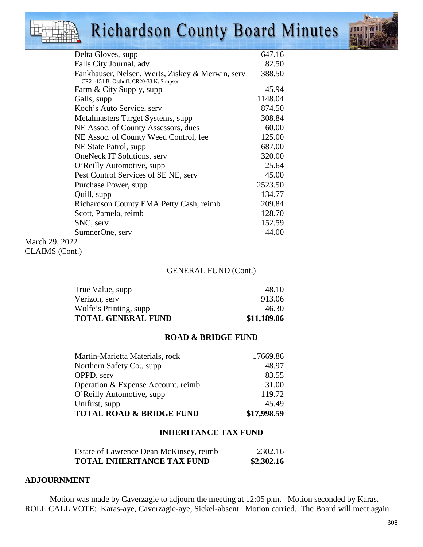# **Richardson County Board Minutes**



| Delta Gloves, supp.                              | 647.16  |
|--------------------------------------------------|---------|
| Falls City Journal, adv                          | 82.50   |
| Fankhauser, Nelsen, Werts, Ziskey & Merwin, serv | 388.50  |
| CR21-151 B. Osthoff, CR20-33 K. Simpson          |         |
| Farm & City Supply, supp                         | 45.94   |
| Galls, supp                                      | 1148.04 |
| Koch's Auto Service, serv                        | 874.50  |
| Metalmasters Target Systems, supp.               | 308.84  |
| NE Assoc. of County Assessors, dues              | 60.00   |
| NE Assoc. of County Weed Control, fee            | 125.00  |
| NE State Patrol, supp.                           | 687.00  |
| <b>OneNeck IT Solutions, serv</b>                | 320.00  |
| O'Reilly Automotive, supp                        | 25.64   |
| Pest Control Services of SE NE, serv             | 45.00   |
| Purchase Power, supp                             | 2523.50 |
| Quill, supp                                      | 134.77  |
| Richardson County EMA Petty Cash, reimb          | 209.84  |
| Scott, Pamela, reimb                             | 128.70  |
| SNC, serv                                        | 152.59  |
| SumnerOne, serv                                  | 44.00   |
| March 29, 2022                                   |         |

CLAIMS (Cont.)

### GENERAL FUND (Cont.)

| Wolfe's Printing, supp    | 46.30       |
|---------------------------|-------------|
| <b>TOTAL GENERAL FUND</b> | \$11,189.06 |

#### **ROAD & BRIDGE FUND**

| Martin-Marietta Materials, rock     | 17669.86    |
|-------------------------------------|-------------|
| Northern Safety Co., supp.          | 48.97       |
| OPPD, serv                          | 83.55       |
| Operation & Expense Account, reimb  | 31.00       |
| O'Reilly Automotive, supp           | 119.72      |
| Unifirst, supp                      | 45.49       |
| <b>TOTAL ROAD &amp; BRIDGE FUND</b> | \$17,998.59 |

#### **INHERITANCE TAX FUND**

| Estate of Lawrence Dean McKinsey, reimb | 2302.16    |
|-----------------------------------------|------------|
| <b>TOTAL INHERITANCE TAX FUND</b>       | \$2,302.16 |

### **ADJOURNMENT**

Motion was made by Caverzagie to adjourn the meeting at 12:05 p.m. Motion seconded by Karas. ROLL CALL VOTE: Karas-aye, Caverzagie-aye, Sickel-absent. Motion carried. The Board will meet again